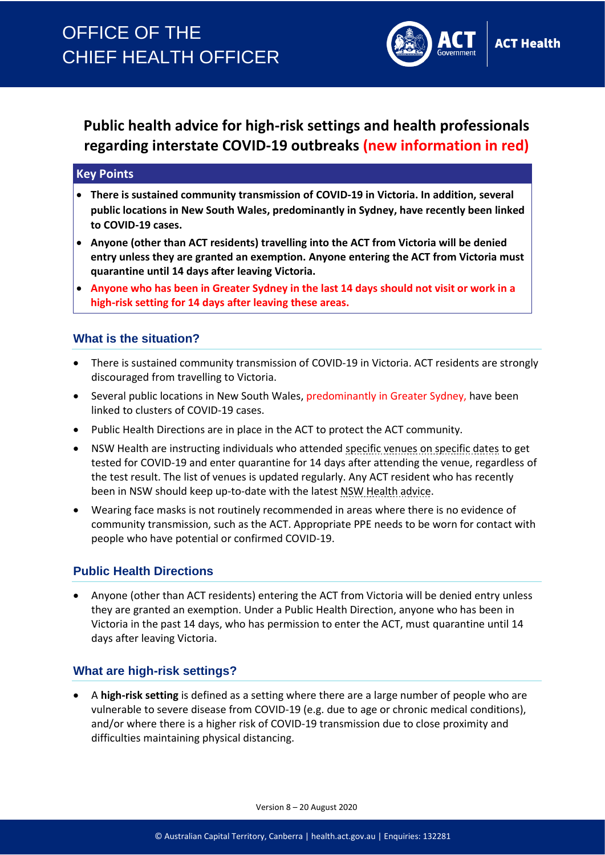

# **Public health advice for high-risk settings and health professionals regarding interstate COVID-19 outbreaks (new information in red)**

#### **Key Points**

- **There is sustained community transmission of COVID-19 in Victoria. In addition, several public locations in New South Wales, predominantly in Sydney, have recently been linked to COVID-19 cases.**
- **Anyone (other than ACT residents) travelling into the ACT from Victoria will be denied entry unless they are granted an exemption. Anyone entering the ACT from Victoria must quarantine until 14 days after leaving Victoria.**
- **Anyone who has been in Greater Sydney in the last 14 days should not visit or work in a high-risk setting for 14 days after leaving these areas.**

### **What is the situation?**

- There is sustained community transmission of COVID-19 in Victoria. ACT residents are strongly discouraged from travelling to Victoria.
- Several public locations in New South Wales, predominantly in Greater Sydney, have been linked to clusters of COVID-19 cases.
- Public Health Directions are in place in the ACT to protect the ACT community.
- NSW Health are instructing individuals who attended [specific venues on specific dates](https://www.nsw.gov.au/covid-19/latest-news-and-updates) to get tested for COVID-19 and enter quarantine for 14 days after attending the venue, regardless of the test result. The list of venues is updated regularly. Any ACT resident who has recently been in NSW should keep up-to-date with the latest [NSW Health advice.](https://www.nsw.gov.au/covid-19/latest-news-and-updates)
- Wearing face masks is not routinely recommended in areas where there is no evidence of community transmission, such as the ACT. Appropriate PPE needs to be worn for contact with people who have potential or confirmed COVID-19.

### **Public Health Directions**

• Anyone (other than ACT residents) entering the ACT from Victoria will be denied entry unless they are granted an exemption. Under a Public Health Direction, anyone who has been in Victoria in the past 14 days, who has permission to enter the ACT, must quarantine until 14 days after leaving Victoria.

### **What are high-risk settings?**

• A **high-risk setting** is defined as a setting where there are a large number of people who are vulnerable to severe disease from COVID-19 (e.g. due to age or chronic medical conditions), and/or where there is a higher risk of COVID-19 transmission due to close proximity and difficulties maintaining physical distancing.

Version 8 – 20 August 2020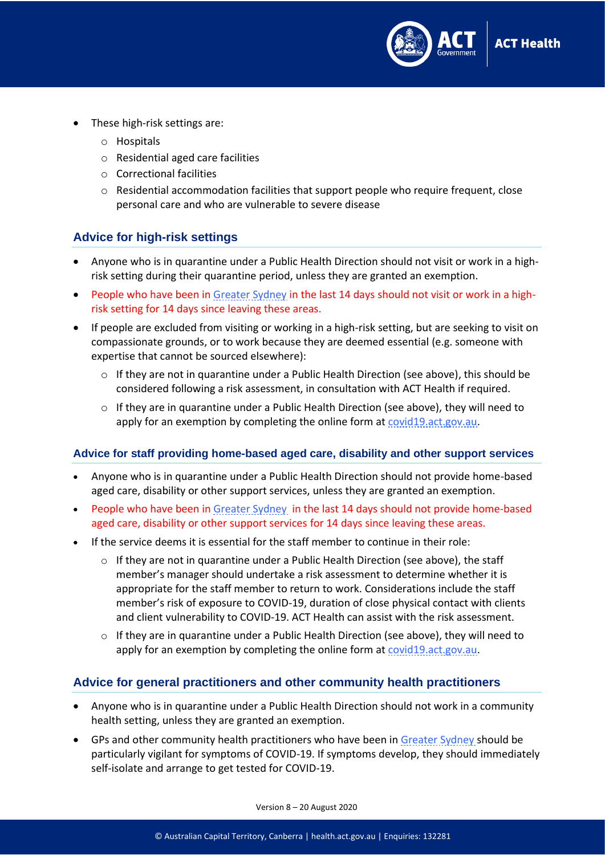

- These high-risk settings are:
	- o Hospitals
	- o Residential aged care facilities
	- o Correctional facilities
	- $\circ$  Residential accommodation facilities that support people who require frequent, close personal care and who are vulnerable to severe disease

#### **Advice for high-risk settings**

- Anyone who is in quarantine under a Public Health Direction should not visit or work in a highrisk setting during their quarantine period, unless they are granted an exemption.
- People who have been in [Greater Sydney](https://www.covid19.act.gov.au/community/travel#local-government-areas) in the last 14 days should not visit or work in a highrisk setting for 14 days since leaving these areas.
- If people are excluded from visiting or working in a high-risk setting, but are seeking to visit on compassionate grounds, or to work because they are deemed essential (e.g. someone with expertise that cannot be sourced elsewhere):
	- $\circ$  If they are not in quarantine under a Public Health Direction (see above), this should be considered following a risk assessment, in consultation with ACT Health if required.
	- $\circ$  If they are in quarantine under a Public Health Direction (see above), they will need to apply for an exemption by completing the online form at [covid19.act.gov.au.](https://www.covid19.act.gov.au/)

#### **Advice for staff providing home-based aged care, disability and other support services**

- Anyone who is in quarantine under a Public Health Direction should not provide home-based aged care, disability or other support services, unless they are granted an exemption.
- People who have been in [Greater Sydney](https://www.covid19.act.gov.au/community/travel#local-government-areas) in the last 14 days should not provide home-based aged care, disability or other support services for 14 days since leaving these areas.
- If the service deems it is essential for the staff member to continue in their role:
	- o If they are not in quarantine under a Public Health Direction (see above), the staff member's manager should undertake a risk assessment to determine whether it is appropriate for the staff member to return to work. Considerations include the staff member's risk of exposure to COVID-19, duration of close physical contact with clients and client vulnerability to COVID-19. ACT Health can assist with the risk assessment.
	- $\circ$  If they are in quarantine under a Public Health Direction (see above), they will need to apply for an exemption by completing the online form at [covid19.act.gov.au.](https://www.covid19.act.gov.au/)

#### **Advice for general practitioners and other community health practitioners**

- Anyone who is in quarantine under a Public Health Direction should not work in a community health setting, unless they are granted an exemption.
- GPs and other community health practitioners who have been in [Greater Sydney s](https://www.covid19.act.gov.au/community/travel#local-government-areas)hould be particularly vigilant for symptoms of COVID-19. If symptoms develop, they should immediately self-isolate and arrange to get tested for COVID-19.

Version 8 – 20 August 2020